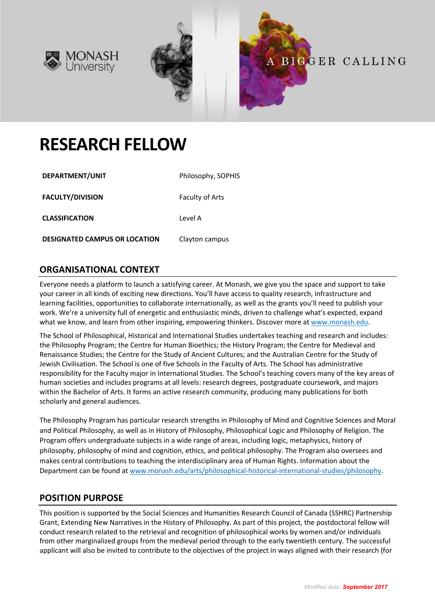





# **RESEARCH FELLOW**

| DEPARTMENT/UNIT                      | Philosophy, SOPHIS |
|--------------------------------------|--------------------|
| <b>FACULTY/DIVISION</b>              | Faculty of Arts    |
| <b>CLASSIFICATION</b>                | Level A            |
| <b>DESIGNATED CAMPUS OR LOCATION</b> | Clayton campus     |

## **ORGANISATIONAL CONTEXT**

Everyone needs a platform to launch a satisfying career. At Monash, we give you the space and support to take your career in all kinds of exciting new directions. You'll have access to quality research, infrastructure and learning facilities, opportunities to collaborate internationally, as well as the grants you'll need to publish your work. We're a university full of energetic and enthusiastic minds, driven to challenge what's expected, expand what we know, and learn from other inspiring, empowering thinkers. Discover more at www.monash.edu.

The School of Philosophical, Historical and International Studies undertakes teaching and research and includes: the Philosophy Program; the Centre for Human Bioethics; the History Program; the Centre for Medieval and Renaissance Studies; the Centre for the Study of Ancient Cultures; and the Australian Centre for the Study of Jewish Civilisation. The School is one of five Schools in the Faculty of Arts. The School has administrative responsibility for the Faculty major in International Studies. The School's teaching covers many of the key areas of human societies and includes programs at all levels: research degrees, postgraduate coursework, and majors within the Bachelor of Arts. It forms an active research community, producing many publications for both scholarly and general audiences.

The Philosophy Program has particular research strengths in Philosophy of Mind and Cognitive Sciences and Moral and Political Philosophy, as well as in History of Philosophy, Philosophical Logic and Philosophy of Religion. The Program offers undergraduate subjects in a wide range of areas, including logic, metaphysics, history of philosophy, philosophy of mind and cognition, ethics, and political philosophy. The Program also oversees and makes central contributions to teaching the interdisciplinary area of Human Rights. Information about the Department can be found at www.monash.edu/arts/philosophical-historical-international-studies/philosophy.

## **POSITION PURPOSE**

This position is supported by the Social Sciences and Humanities Research Council of Canada (SSHRC) Partnership Grant, Extending New Narratives in the History of Philosophy. As part of this project, the postdoctoral fellow will conduct research related to the retrieval and recognition of philosophical works by women and/or individuals from other marginalized groups from the medieval period through to the early twentieth century. The successful applicant will also be invited to contribute to the objectives of the project in ways aligned with their research (for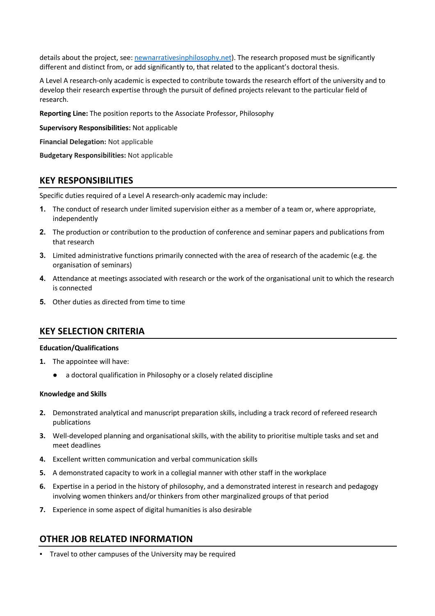details about the project, see: newnarrativesinphilosophy.net). The research proposed must be significantly different and distinct from, or add significantly to, that related to the applicant's doctoral thesis.

A Level A research-only academic is expected to contribute towards the research effort of the university and to develop their research expertise through the pursuit of defined projects relevant to the particular field of research.

**Reporting Line:** The position reports to the Associate Professor, Philosophy

**Supervisory Responsibilities:** Not applicable

**Financial Delegation:** Not applicable

**Budgetary Responsibilities:** Not applicable

#### **KEY RESPONSIBILITIES**

Specific duties required of a Level A research-only academic may include:

- **1.** The conduct of research under limited supervision either as a member of a team or, where appropriate, independently
- **2.** The production or contribution to the production of conference and seminar papers and publications from that research
- **3.** Limited administrative functions primarily connected with the area of research of the academic (e.g. the organisation of seminars)
- **4.** Attendance at meetings associated with research or the work of the organisational unit to which the research is connected
- **5.** Other duties as directed from time to time

#### **KEY SELECTION CRITERIA**

#### **Education/Qualifications**

- **1.** The appointee will have:
	- a doctoral qualification in Philosophy or a closely related discipline

#### **Knowledge and Skills**

- **2.** Demonstrated analytical and manuscript preparation skills, including a track record of refereed research publications
- **3.** Well-developed planning and organisational skills, with the ability to prioritise multiple tasks and set and meet deadlines
- **4.** Excellent written communication and verbal communication skills
- **5.** A demonstrated capacity to work in a collegial manner with other staff in the workplace
- **6.** Expertise in a period in the history of philosophy, and a demonstrated interest in research and pedagogy involving women thinkers and/or thinkers from other marginalized groups of that period
- **7.** Experience in some aspect of digital humanities is also desirable

## **OTHER JOB RELATED INFORMATION**

Travel to other campuses of the University may be required